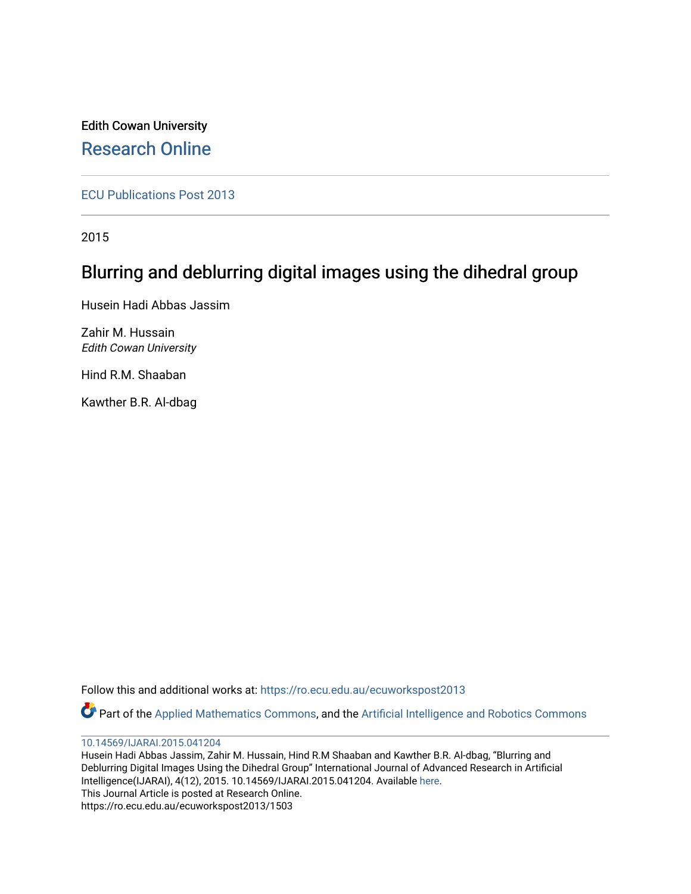Edith Cowan University [Research Online](https://ro.ecu.edu.au/) 

[ECU Publications Post 2013](https://ro.ecu.edu.au/ecuworkspost2013)

2015

# Blurring and deblurring digital images using the dihedral group

Husein Hadi Abbas Jassim

Zahir M. Hussain Edith Cowan University

Hind R.M. Shaaban

Kawther B.R. Al-dbag

Follow this and additional works at: [https://ro.ecu.edu.au/ecuworkspost2013](https://ro.ecu.edu.au/ecuworkspost2013?utm_source=ro.ecu.edu.au%2Fecuworkspost2013%2F1503&utm_medium=PDF&utm_campaign=PDFCoverPages) 

Part of the [Applied Mathematics Commons](http://network.bepress.com/hgg/discipline/115?utm_source=ro.ecu.edu.au%2Fecuworkspost2013%2F1503&utm_medium=PDF&utm_campaign=PDFCoverPages), and the [Artificial Intelligence and Robotics Commons](http://network.bepress.com/hgg/discipline/143?utm_source=ro.ecu.edu.au%2Fecuworkspost2013%2F1503&utm_medium=PDF&utm_campaign=PDFCoverPages)

#### [10.14569/IJARAI.2015.041204](http://dx.doi.org/10.14569/IJARAI.2015.041204)

Husein Hadi Abbas Jassim, Zahir M. Hussain, Hind R.M Shaaban and Kawther B.R. Al-dbag, "Blurring and Deblurring Digital Images Using the Dihedral Group" International Journal of Advanced Research in Artificial Intelligence(IJARAI), 4(12), 2015. 10.14569/IJARAI.2015.041204. Available [here.](http://thesai.org/Publications/ViewPaper?Volume=4&Issue=12&Code=IJARAI&SerialNo=4) This Journal Article is posted at Research Online. https://ro.ecu.edu.au/ecuworkspost2013/1503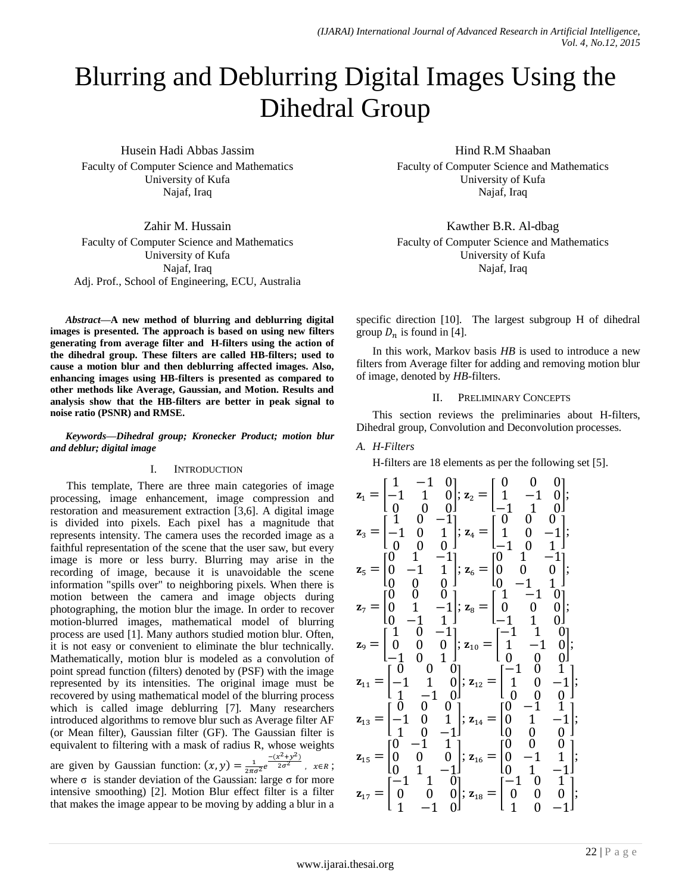# Blurring and Deblurring Digital Images Using the Dihedral Group

Husein Hadi Abbas Jassim Faculty of Computer Science and Mathematics University of Kufa Najaf, Iraq

Zahir M. Hussain Faculty of Computer Science and Mathematics University of Kufa Najaf, Iraq Adj. Prof., School of Engineering, ECU, Australia

*Abstract***—A new method of blurring and deblurring digital images is presented. The approach is based on using new filters generating from average filter and H-filters using the action of the dihedral group. These filters are called HB-filters; used to cause a motion blur and then deblurring affected images. Also, enhancing images using HB-filters is presented as compared to other methods like Average, Gaussian, and Motion. Results and analysis show that the HB-filters are better in peak signal to noise ratio (PSNR) and RMSE.**

*Keywords—Dihedral group; Kronecker Product; motion blur and deblur; digital image*

#### I. INTRODUCTION

This template, There are three main categories of image processing, image enhancement, image compression and restoration and measurement extraction [3,6]. A digital image is divided into pixels. Each pixel has a magnitude that represents intensity. The camera uses the recorded image as a faithful representation of the scene that the user saw, but every image is more or less burry. Blurring may arise in the recording of image, because it is unavoidable the scene information "spills over" to neighboring pixels. When there is motion between the camera and image objects during photographing, the motion blur the image. In order to recover motion-blurred images, mathematical model of blurring process are used [1]. Many authors studied motion blur. Often, it is not easy or convenient to eliminate the blur technically. Mathematically, motion blur is modeled as a convolution of point spread function (filters) denoted by (PSF) with the image represented by its intensities. The original image must be recovered by using mathematical model of the blurring process which is called image deblurring [7]. Many researchers introduced algorithms to remove blur such as Average filter AF (or Mean filter), Gaussian filter (GF). The Gaussian filter is equivalent to filtering with a mask of radius R, whose weights are given by Gaussian function:  $(x, y) = \frac{1}{2\pi i}$  $\frac{1}{2\pi\sigma^2}e^{\frac{-(x^2+y^2)}{2\sigma^2}}$ ,  $x \in R$ ;

where  $\sigma$  is stander deviation of the Gaussian: large  $\sigma$  for more intensive smoothing) [2]. Motion Blur effect filter is a filter that makes the image appear to be moving by adding a blur in a

Hind R.M Shaaban Faculty of Computer Science and Mathematics University of Kufa Najaf, Iraq

Kawther B.R. Al-dbag Faculty of Computer Science and Mathematics University of Kufa Najaf, Iraq

specific direction [10]. The largest subgroup H of dihedral group  $D_n$  is found in [4].

In this work, Markov basis *HB* is used to introduce a new filters from Average filter for adding and removing motion blur of image, denoted by *HB*-filters.

#### II. PRELIMINARY CONCEPTS

This section reviews the preliminaries about H-filters, Dihedral group, Convolution and Deconvolution processes.

## *A. H-Filters*

H-filters are 18 elements as per the following set [5].

$$
z_{1} = \begin{bmatrix} 1 & -1 & 0 \\ -1 & 1 & 0 \\ 0 & 0 & 0 \end{bmatrix}; z_{2} = \begin{bmatrix} 0 & 0 & 0 \\ 1 & -1 & 0 \\ -1 & 1 & 0 \end{bmatrix};
$$
  
\n
$$
z_{3} = \begin{bmatrix} 1 & 0 & -1 \\ -1 & 0 & 1 \\ 0 & 0 & 0 \end{bmatrix}; z_{4} = \begin{bmatrix} 0 & 0 & 0 \\ 1 & 0 & -1 \\ -1 & 0 & 1 \end{bmatrix};
$$
  
\n
$$
z_{5} = \begin{bmatrix} 0 & 1 & -1 \\ 0 & -1 & 1 \\ 0 & 0 & 0 \end{bmatrix}; z_{6} = \begin{bmatrix} 0 & 1 & -1 \\ 0 & 0 & 0 \\ 0 & -1 & 1 \end{bmatrix};
$$
  
\n
$$
z_{7} = \begin{bmatrix} 0 & 0 & 0 \\ 0 & 1 & -1 \\ 0 & -1 & 1 \end{bmatrix}; z_{8} = \begin{bmatrix} 1 & -1 & 0 \\ 0 & 0 & 0 \\ -1 & 1 & 0 \end{bmatrix};
$$
  
\n
$$
z_{9} = \begin{bmatrix} 1 & 0 & -1 \\ 0 & 0 & 0 \\ -1 & 0 & 1 \end{bmatrix}; z_{10} = \begin{bmatrix} -1 & 1 & 0 \\ 1 & -1 & 0 \\ 0 & 0 & 0 \end{bmatrix};
$$
  
\n
$$
z_{11} = \begin{bmatrix} 0 & 0 & 0 \\ -1 & 1 & 0 \\ 1 & -1 & 0 \end{bmatrix}; z_{12} = \begin{bmatrix} -1 & 0 & 1 \\ 1 & 0 & -1 \\ 0 & 0 & 0 \end{bmatrix};
$$
  
\n
$$
z_{13} = \begin{bmatrix} 0 & -1 & 1 \\ 0 & 0 & 1 \\ 0 & 0 & -1 \end{bmatrix}; z_{14} = \begin{bmatrix} 0 & 0 & 0 \\ 0 & 1 & -1 \\ 0 & 0 & 0 \\ 0 & 1 & -1 \end{bmatrix};
$$
  
\n
$$
z_{17} = \begin{bmatrix} -1 & 1 & 0 \\ 0 & 0 & 0 \\ 1 & -1 & 0 \end{bmatrix}; z_{18} = \begin{bmatrix} -1 &
$$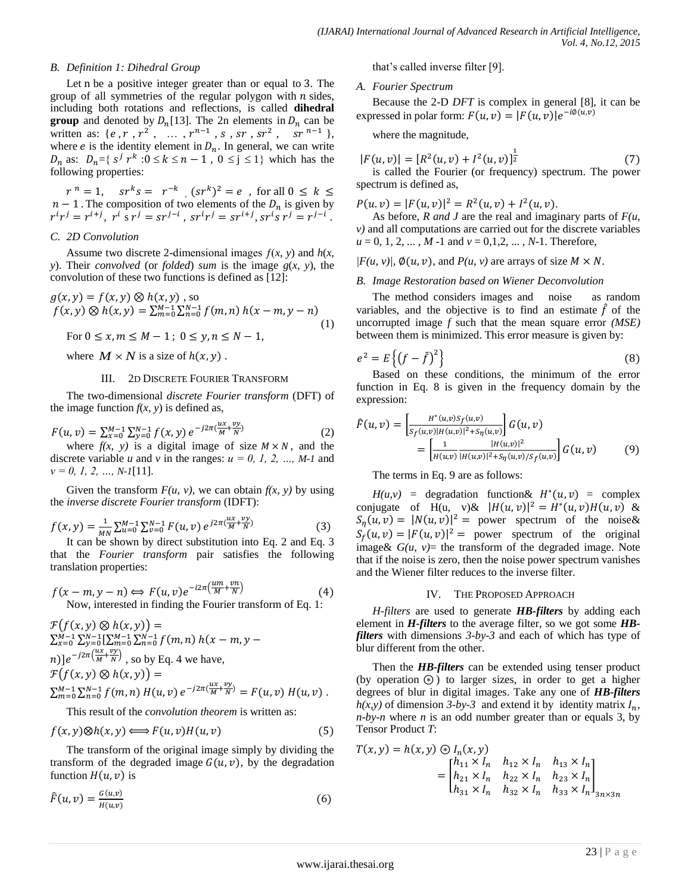#### *B. Definition 1: Dihedral Group*

Let  $n$  be a positive integer greater than or equal to 3. The group of all symmetries of the regular polygon with  $n$  sides, including both rotations and reflections, is called **dihedral group** and denoted by  $D_n[13]$ . The 2n elements in  $D_n$  can be written as: { $e, r, r^2, \ldots, r^{n-1}, s, sr, sr^2, sr^{n-1}$ }, where *e* is the identity element in  $D_n$ . In general, we can write  $D_n$  as:  $D_n = \{ s^j r^k : 0 \le k \le n - 1, 0 \le j \le 1 \}$  which has the following properties:

 $r^{n} = 1$ ,  $sr^{k}s = r^{-k}$ ,  $(sr^{k})^{2}$  $n-1$ . The composition of two elements of the  $D_n$  is given by  $r^{i}r^{j} = r^{i+j}, r^{i} s r^{j} = s r^{j-i}, s r^{i}r^{j} = s r^{i+j}, s r^{i} s r^{j} = r^{j-i}.$ 

#### *C. 2D Convolution*

Assume two discrete 2-dimensional images  $f(x, y)$  and  $h(x, y)$ *y*). Their *convolved* (or *folded*) *sum* is the image  $g(x, y)$ , the convolution of these two functions is defined as [12]:

$$
g(x, y) = f(x, y) \otimes h(x, y), \text{ so}
$$
  

$$
f(x, y) \otimes h(x, y) = \sum_{m=0}^{M-1} \sum_{n=0}^{N-1} f(m, n) h(x - m, y - n)
$$
  
For  $0 \le x, m \le M - 1$ ;  $0 \le y, n \le N - 1$ , (1)

where  $M \times N$  is a size of  $h(x, y)$ .

#### III. 2D DISCRETE FOURIER TRANSFORM

The two-dimensional *discrete Fourier transform* (DFT) of the image function  $f(x, y)$  is defined as,

$$
F(u, v) = \sum_{x=0}^{M-1} \sum_{y=0}^{N-1} f(x, y) e^{-j2\pi (\frac{ux}{M} + \frac{vy}{N})}
$$
(2)

where  $f(x, y)$  is a digital image of size  $M \times N$ , and the discrete variable *u* and *v* in the ranges:  $u = 0, 1, 2, ..., M-1$  and *v = 0, 1, 2, …, N-1*[11].

Given the transform  $F(u, v)$ , we can obtain  $f(x, y)$  by using the *inverse discrete Fourier transform* (IDFT):

$$
f(x, y) = \frac{1}{MN} \sum_{u=0}^{M-1} \sum_{v=0}^{N-1} F(u, v) e^{j2\pi (\frac{ux}{M} + \frac{vy}{N})}
$$
(3)

It can be shown by direct substitution into Eq. 2 and Eq. 3 that the *Fourier transform* pair satisfies the following translation properties:

$$
f(x - m, y - n) \Longleftrightarrow F(u, v)e^{-i2\pi(\frac{um}{M} + \frac{vn}{N})}
$$
 (4)  
Now, interested in finding the Fourier transform of Eq. 1:

$$
\mathcal{F}\left(f(x,y) \otimes h(x,y)\right) =
$$
\n
$$
\sum_{x=0}^{M-1} \sum_{y=0}^{N-1} \left[\sum_{m=0}^{M-1} \sum_{n=0}^{N-1} f(m,n) h(x-m, y-m)\right] e^{-j2\pi \left(\frac{ux}{M} + \frac{vy}{N}\right)}, \text{ so by Eq. 4 we have,}
$$
\n
$$
\mathcal{F}\left(f(x,y) \otimes h(x,y)\right) =
$$
\n
$$
\sum_{m=0}^{M-1} \sum_{n=0}^{N-1} f(m,n) H(u,v) e^{-j2\pi \left(\frac{ux}{M} + \frac{vy}{N}\right)} = F(u,v) H(u,v).
$$

This result of the *convolution theorem* is written as:

$$
f(x, y) \otimes h(x, y) \Longleftrightarrow F(u, v)H(u, v) \tag{5}
$$

The transform of the original image simply by dividing the transform of the degraded image  $G(u, v)$ , by the degradation function  $H(u, v)$  is

$$
\hat{F}(u,v) = \frac{G(u,v)}{H(u,v)}\tag{6}
$$

that's called inverse filter [9].

#### *A. Fourier Spectrum*

Because the 2-D *DFT* is complex in general [8], it can be expressed in polar form:  $F(u, v) = |F(u, v)|e^{-i\phi(u, v)}$ 

where the magnitude,

$$
|F(u, v)| = [R2(u, v) + I2(u, v)]\frac{1}{2}
$$
 (7)  
is called the Fourier (or frequency) capacity. The power

is called the Fourier (or frequency) spectrum. The power spectrum is defined as,

 $P(u, v) = |F(u, v)|^2 = R^2(u, v) + I^2(u, v).$ 

As before, *R and J* are the real and imaginary parts of *F(u, v)* and all computations are carried out for the discrete variables  $u = 0, 1, 2, \dots, M-1$  and  $v = 0, 1, 2, \dots, N-1$ . Therefore,

#### $|F(u, v)|$ ,  $\phi(u, v)$ , and  $P(u, v)$  are arrays of size  $M \times N$ .

#### *B. Image Restoration based on Wiener Deconvolution*

The method considers images and noise as random variables, and the objective is to find an estimate  $\hat{f}$  of the uncorrupted image *f* such that the mean square error *(MSE)* between them is minimized. This error measure is given by:

$$
e^{2} = E\left\{ \left( f - \hat{f} \right)^{2} \right\} \tag{8}
$$

Based on these conditions, the minimum of the error function in Eq. 8 is given in the frequency domain by the expression:

$$
\hat{F}(u,v) = \left[\frac{H^*(u,v)S_f(u,v)}{S_f(u,v)|H(u,v)|^2 + S_\eta(u,v)}\right] G(u,v) \n= \left[\frac{1}{H(u,v)} \frac{|H(u,v)|^2}{|H(u,v)|^2 + S_\eta(u,v)/S_f(u,v)}\right] G(u,v)
$$
\n(9)

The terms in Eq. 9 are as follows:

 $H(u, v)$  = degradation function &  $H^*(u, v)$  = complex conjugate of H(u, v) &  $|H(u, v)|^2 = H^*(u, v)H(u, v)$  &  $S_n(u, v) = |N(u, v)|^2$  = power spectrum of the noise &  $S_f(u, v) = |F(u, v)|^2$  = power spectrum of the original image  $\&$   $G(u, v)$  = the transform of the degraded image. Note that if the noise is zero, then the noise power spectrum vanishes and the Wiener filter reduces to the inverse filter.

#### IV. THE PROPOSED APPROACH

*H-filters* are used to generate *HB-filters* by adding each element in *H-filters* to the average filter, so we got some *HBfilters* with dimensions *3-by-3* and each of which has type of blur different from the other.

Then the *HB-filters* can be extended using tenser product (by operation  $\circledast$ ) to larger sizes, in order to get a higher degrees of blur in digital images. Take any one of *HB-filters*   $h(x, y)$  of dimension 3-by-3 and extend it by identity matrix  $I_n$ , *n-by-n* where *n* is an odd number greater than or equals 3, by Tensor Product *T*:

$$
T(x, y) = h(x, y) \circledast I_n(x, y)
$$
  
= 
$$
\begin{bmatrix} h_{11} \times I_n & h_{12} \times I_n & h_{13} \times I_n \\ h_{21} \times I_n & h_{22} \times I_n & h_{23} \times I_n \\ h_{31} \times I_n & h_{32} \times I_n & h_{33} \times I_n \end{bmatrix}_{3n \times 3n}
$$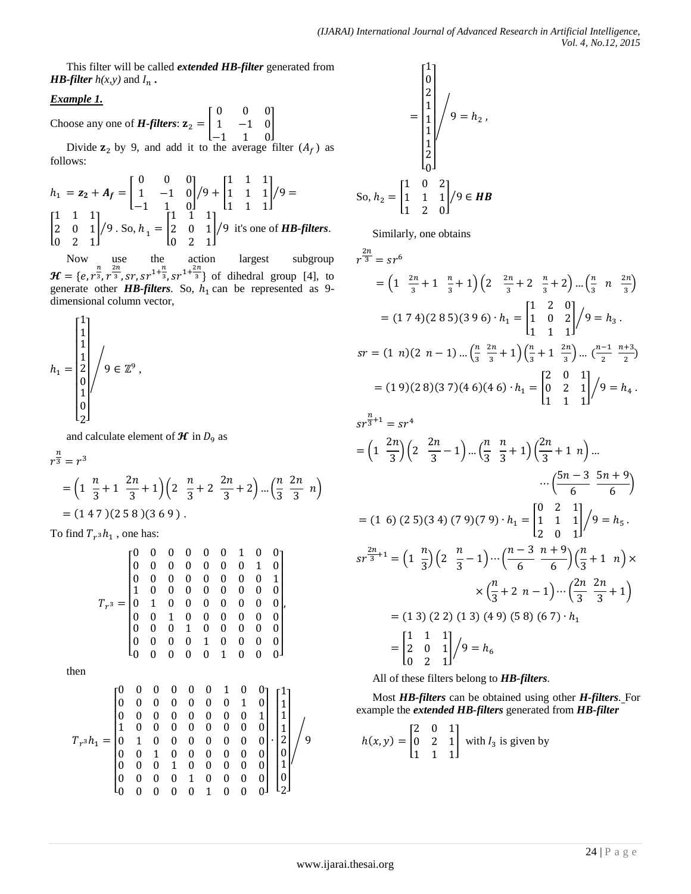This filter will be called *extended HB-filter* generated from *HB-filter*  $h(x, y)$  and  $I_n$ .

# *Example 1.*

Choose any one of *H*-filters:  $z_2 =$  $\boldsymbol{0}$  $\mathbf{1}$  $\overline{\phantom{0}}$ ] Divide  $z_2$  by 9, and add it to the average filter  $(A_f)$  as

follows:

$$
h_1 = \mathbf{z}_2 + A_f = \begin{bmatrix} 0 & 0 & 0 \\ 1 & -1 & 0 \\ -1 & 1 & 0 \end{bmatrix} / 9 + \begin{bmatrix} 1 & 1 & 1 \\ 1 & 1 & 1 \\ 1 & 1 & 1 \end{bmatrix} / 9 =
$$
  

$$
\begin{bmatrix} 1 & 1 & 1 \\ 2 & 0 & 1 \\ 0 & 2 & 1 \end{bmatrix} / 9 \text{ . So, } h_1 = \begin{bmatrix} 1 & 1 & 1 \\ 2 & 0 & 1 \\ 0 & 2 & 1 \end{bmatrix} / 9 \text{ it's one of } \mathbf{H} \mathbf{B}\text{-fitters.}
$$

Now use the action largest subgroup  $\mathbf{H} = \{e, r^{\frac{n}{3}}, r^{\frac{2n}{3}}, sr, sr^{1+\frac{n}{3}}, sr^{1+\frac{2n}{3}}\}$  of dihedral group [4], to generate other **HB-filters**. So,  $h_1$  can be represented as 9dimensional column vector,

$$
h_1 = \begin{bmatrix} 1 \\ 1 \\ 1 \\ 1 \\ 0 \\ 1 \\ 0 \\ 2 \end{bmatrix} / 9 \in \mathbb{Z}^9 ,
$$

 $\overline{a}$ 

and calculate element of  $\mathcal{H}$  in  $D_9$  as

$$
r^{\frac{n}{3}} = r^3
$$
  
=  $\left(1 \frac{n}{3} + 1 \frac{2n}{3} + 1\right) \left(2 \frac{n}{3} + 2 \frac{2n}{3} + 2\right) \dots \left(\frac{n}{3} \frac{2n}{3} n\right)$   
=  $(1 4 7)(2 5 8)(3 6 9).$ 

To find  $T_{r^3}h_1$ , one has:

[ I I I

 $\boldsymbol{0}$ 

 $\boldsymbol{0}$  $\boldsymbol{0}$  $\boldsymbol{0}$ 

 $\overline{0}$ 

then

$$
T_{r^3} = \begin{bmatrix} 0 & 0 & 0 & 0 & 0 & 0 & 1 & 0 & 0 \\ 0 & 0 & 0 & 0 & 0 & 0 & 0 & 1 & 0 \\ 0 & 0 & 0 & 0 & 0 & 0 & 0 & 0 & 1 \\ 1 & 0 & 0 & 0 & 0 & 0 & 0 & 0 & 0 \\ 0 & 1 & 0 & 0 & 0 & 0 & 0 & 0 & 0 \\ 0 & 0 & 1 & 0 & 0 & 0 & 0 & 0 & 0 \\ 0 & 0 & 0 & 1 & 0 & 0 & 0 & 0 & 0 \\ 0 & 0 & 0 & 0 & 1 & 0 & 0 & 0 & 0 \\ 0 & 0 & 0 & 0 & 0 & 1 & 0 & 0 & 0 \\ 0 & 0 & 0 & 0 & 0 & 0 & 1 & 0 & 0 \\ 0 & 0 & 0 & 0 & 0 & 0 & 0 & 0 & 1 \\ 0 & 0 & 0 & 0 & 0 & 0 & 0 & 0 & 0 \\ 0 & 0 & 1 & 0 & 0 & 0 & 0 & 0 & 0 \\ 0 & 0 & 1 & 0 & 0 & 0 & 0 & 0 & 0 \\ \end{bmatrix} \begin{bmatrix} 1 \\ 1 \\ 1 \\ 1 \\ 1 \\ 1 \\ 1 \\ 1 \\ 1 \\ 1 \\ \end{bmatrix} / \left\langle
$$

 $\boldsymbol{0}$ 

 $\mathbf{1}$  $\boldsymbol{0}$  $\boldsymbol{0}$   $\boldsymbol{0}$ 

 $\boldsymbol{0}$  $\boldsymbol{0}$ 

 $\begin{smallmatrix}0&0&0\end{smallmatrix}$ 

I I I

 $\lfloor$ I ł

 $\mathbf{1}$  $\boldsymbol{0}$  $2^{\mathsf{J}}$  $\overline{\phantom{a}}$  $\overline{\phantom{a}}$  $\overline{\phantom{a}}$  ⁄

$$
= \begin{bmatrix} 1 \\ 0 \\ 2 \\ 1 \\ 1 \\ 1 \\ 2 \\ 0 \end{bmatrix} / 9 = h_2,
$$
  
So,  $h_2 = \begin{bmatrix} 1 & 0 & 2 \\ 1 & 1 & 1 \\ 1 & 2 & 0 \end{bmatrix} / 9 \in HB$ 

Similarly, one obtains

$$
r^{\frac{2n}{3}} = sr^6
$$
  
\n
$$
= \left(1 \frac{2n}{3} + 1 \frac{n}{3} + 1\right) \left(2 \frac{2n}{3} + 2 \frac{n}{3} + 2\right) \dots \left(\frac{n}{3} n \frac{2n}{3}\right)
$$
  
\n
$$
= (174)(285)(396) \cdot h_1 = \begin{bmatrix} 1 & 2 & 0 \\ 1 & 0 & 2 \\ 1 & 1 & 1 \end{bmatrix} / 9 = h_3.
$$
  
\n
$$
sr = (1 n)(2 n - 1) \dots \left(\frac{n}{3} \frac{2n}{3} + 1\right) \left(\frac{n}{3} + 1 \frac{2n}{3}\right) \dots \left(\frac{n-1}{2} \frac{n+3}{2}\right)
$$
  
\n
$$
= (19)(28)(37)(46)(46) \cdot h_1 = \begin{bmatrix} 2 & 0 & 1 \\ 0 & 2 & 1 \\ 1 & 1 & 1 \end{bmatrix} / 9 = h_4.
$$
  
\n
$$
sr^{\frac{n}{3}+1} = sr^4
$$
  
\n
$$
= \left(1 \frac{2n}{3}\right) \left(2 \frac{2n}{3} - 1\right) \dots \left(\frac{n}{3} \frac{n}{3} + 1\right) \left(\frac{2n}{3} + 1 n\right) \dots \left(\frac{5n-3}{6} \frac{5n+9}{6}\right)
$$
  
\n
$$
= (1 6) (2 5)(3 4) (7 9)(7 9) \cdot h_1 = \begin{bmatrix} 0 & 2 & 1 \\ 1 & 1 & 1 \\ 2 & 0 & 1 \end{bmatrix} / 9 = h_5.
$$
  
\n
$$
sr^{\frac{2n}{3}+1} = \left(1 \frac{n}{3}\right) \left(2 \frac{n}{3} - 1\right) \dots \left(\frac{n-3}{6} \frac{n+9}{6}\right) \left(\frac{n}{3} + 1 n\right) \times \left(\frac{n}{3} + 2 n - 1\right) \dots \left(\frac{2n}{3} \frac{2n}{3} + 1\right)
$$
  
\n
$$
= (1 3) (2 2) (1 3) (4 9) (5 8) (6 7) \cdot h_1
$$

All of these filters belong to *HB-filters*.

Most *HB-filters* can be obtained using other *H-filters*. For example the *extended HB-filters* generated from *HB-filter*

$$
h(x, y) = \begin{bmatrix} 2 & 0 & 1 \\ 0 & 2 & 1 \\ 1 & 1 & 1 \end{bmatrix}
$$
 with  $I_3$  is given by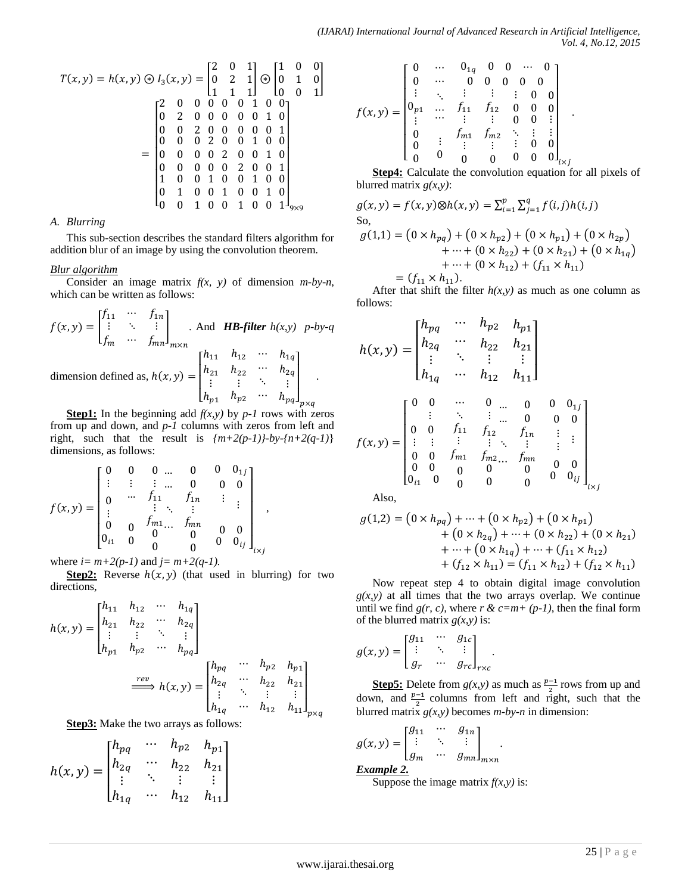$$
T(x,y) = h(x,y) \circledast I_3(x,y) = \begin{bmatrix} 2 & 0 & 1 \\ 0 & 2 & 1 \\ 1 & 1 & 1 \end{bmatrix} \circledast \begin{bmatrix} 1 & 0 & 0 \\ 0 & 1 & 0 \\ 0 & 0 & 1 \end{bmatrix}
$$

$$
= \begin{bmatrix} 2 & 0 & 0 & 0 & 0 & 1 & 0 \\ 0 & 2 & 0 & 0 & 0 & 0 & 1 & 0 \\ 0 & 0 & 2 & 0 & 0 & 0 & 0 & 1 \\ 0 & 0 & 0 & 2 & 0 & 0 & 1 & 0 \\ 0 & 0 & 0 & 0 & 2 & 0 & 0 & 1 \\ 0 & 0 & 0 & 0 & 2 & 0 & 0 & 1 \\ 1 & 0 & 0 & 1 & 0 & 0 & 1 & 0 \\ 0 & 1 & 0 & 0 & 1 & 0 & 0 & 1 \end{bmatrix}
$$

#### *A. Blurring*

This sub-section describes the standard filters algorithm for addition blur of an image by using the convolution theorem.

# *Blur algorithm*

Consider an image matrix *f(x, y)* of dimension *m-by-n*, which can be written as follows:

 $\overline{a}$ 

$$
f(x,y) = \begin{bmatrix} f_{11} & \cdots & f_{1n} \\ \vdots & \ddots & \vdots \\ f_m & \cdots & f_{mn} \end{bmatrix}_{m \times n} \quad \text{And } \mathbf{H}\mathbf{B}\text{-filter } h(x,y) \quad p \text{-by-q}
$$
  
dimension defined as, 
$$
h(x,y) = \begin{bmatrix} h_{11} & h_{12} & \cdots & h_{1q} \\ h_{21} & h_{22} & \cdots & h_{2q} \\ \vdots & \vdots & \ddots & \vdots \\ h_{p1} & h_{p2} & \cdots & h_{pq} \end{bmatrix}_{p \times q}
$$

**Step1:** In the beginning add  $f(x, y)$  by  $p-1$  rows with zeros from up and down, and *p-1* columns with zeros from left and right, such that the result is  ${m+2(p-1)}-by-{n+2(q-1)}$ dimensions, as follows:

$$
f(x,y) = \begin{bmatrix} 0 & 0 & 0 & \dots & 0 & 0 & 0_{1j} \\ \vdots & \vdots & \vdots & \dots & 0 & 0 & 0 \\ 0 & \dots & f_{11} & f_{1n} & \vdots & \vdots \\ \vdots & & \vdots & \ddots & \vdots & \vdots \\ 0 & 0 & f_{m1} & \dots & f_{mn} & 0 & 0 \\ 0_{i1} & 0 & 0 & 0 & 0 & 0_{ij} \end{bmatrix}_{i \times j},
$$

where  $i = m+2(p-1)$  and  $j = m+2(q-1)$ .

**Step2:** Reverse  $h(x, y)$  (that used in blurring) for two directions,

$$
h(x,y) = \begin{bmatrix} h_{11} & h_{12} & \cdots & h_{1q} \\ h_{21} & h_{22} & \cdots & h_{2q} \\ \vdots & \vdots & \ddots & \vdots \\ h_{p1} & h_{p2} & \cdots & h_{pq} \end{bmatrix}
$$

$$
\xrightarrow{\text{rev}} h(x,y) = \begin{bmatrix} h_{pq} & \cdots & h_{p2} & h_{p1} \\ h_{2q} & \cdots & h_{22} & h_{21} \\ \vdots & \ddots & \vdots & \vdots \\ h_{1q} & \cdots & h_{12} & h_{11} \end{bmatrix}_{p \times q}
$$

**Step3:** Make the two arrays as follows:

$$
h(x,y) = \begin{bmatrix} h_{pq} & \cdots & h_{p2} & h_{p1} \\ h_{2q} & \cdots & h_{22} & h_{21} \\ \vdots & \ddots & \vdots & \vdots \\ h_{1q} & \cdots & h_{12} & h_{11} \end{bmatrix}
$$

$$
f(x,y) = \begin{bmatrix} 0 & \cdots & 0_{1q} & 0 & 0 & \cdots & 0 \\ 0 & \cdots & 0 & 0 & 0 & 0 & 0 \\ \vdots & \ddots & \vdots & \vdots & \vdots & 0 & 0 \\ 0_{p1} & \cdots & f_{11} & f_{12} & 0 & 0 & 0 \\ \vdots & \cdots & \vdots & \vdots & 0 & 0 & \vdots \\ 0 & \vdots & f_{m1} & f_{m2} & \ddots & \vdots & \vdots \\ 0 & 0 & \vdots & \vdots & \vdots & 0 & 0 \\ 0 & 0 & 0 & 0 & 0 & 0 & 0 \end{bmatrix}_{ix}
$$

**Step4:** Calculate the convolution equation for all pixels of blurred matrix *g(x,y)*:

.

$$
g(x, y) = f(x, y) \otimes h(x, y) = \sum_{i=1}^{p} \sum_{j=1}^{q} f(i, j)h(i, j)
$$
  
So,  

$$
g(1,1) = (0 \times h_{pq}) + (0 \times h_{p2}) + (0 \times h_{p1}) + (0 \times h_{2p}) + \dots + (0 \times h_{22}) + (0 \times h_{21}) + (0 \times h_{1q}) + \dots + (0 \times h_{12}) + (f_{11} \times h_{11})
$$

$$
= (f_{11} \times h_{11}).
$$

After that shift the filter  $h(x, y)$  as much as one column as follows:

$$
h(x,y) = \begin{bmatrix} h_{pq} & \cdots & h_{p2} & h_{p1} \\ h_{2q} & \cdots & h_{22} & h_{21} \\ \vdots & \ddots & \vdots & \vdots \\ h_{1q} & \cdots & h_{12} & h_{11} \end{bmatrix}
$$

$$
f(x,y) = \begin{bmatrix} 0 & 0 & \cdots & 0 & \cdots & 0 & 0 & 0 \\ \vdots & \ddots & \vdots & \cdots & 0 & 0 & 0 \\ 0 & 0 & f_{11} & f_{12} & f_{1n} & \vdots \\ \vdots & \vdots & \vdots & \ddots & \vdots & \vdots \\ 0 & 0 & f_{m1} & f_{m2} & \cdots & f_{mn} & 0 & 0 \\ 0 & 0 & 0 & 0 & 0 & 0 & 0 \\ 0_{i1} & 0 & 0 & 0 & 0 & 0 & 0 \end{bmatrix}_{i\times j}
$$

Also,

$$
g(1,2) = (0 \times h_{pq}) + \dots + (0 \times h_{p2}) + (0 \times h_{p1})
$$
  
+ (0 \times h\_{2q}) + \dots + (0 \times h\_{22}) + (0 \times h\_{21})  
+ \dots + (0 \times h\_{1q}) + \dots + (f\_{11} \times h\_{12})  
+ (f\_{12} \times h\_{11}) = (f\_{11} \times h\_{12}) + (f\_{12} \times h\_{11})

Now repeat step 4 to obtain digital image convolution  $g(x, y)$  at all times that the two arrays overlap. We continue until we find  $g(r, c)$ , where  $r \& c = m + (p-1)$ , then the final form of the blurred matrix  $g(x, y)$  is:

$$
g(x,y) = \begin{bmatrix} g_{11} & \cdots & g_{1c} \\ \vdots & \ddots & \vdots \\ g_r & \cdots & g_{rc} \end{bmatrix}_{rxc}.
$$

**Step5:** Delete from  $g(x, y)$  as much as  $\frac{p-1}{2}$  rows from up and down, and  $\frac{p-1}{2}$  columns from left and right, such that the blurred matrix  $g(x, y)$  becomes  $m$ -by-n in dimension:

.

$$
g(x,y) = \begin{bmatrix} g_{11} & \cdots & g_{1n} \\ \vdots & \ddots & \vdots \\ g_m & \cdots & g_{mn} \end{bmatrix}_{m \times n}
$$

*Example 2.*

Suppose the image matrix  $f(x, y)$  is: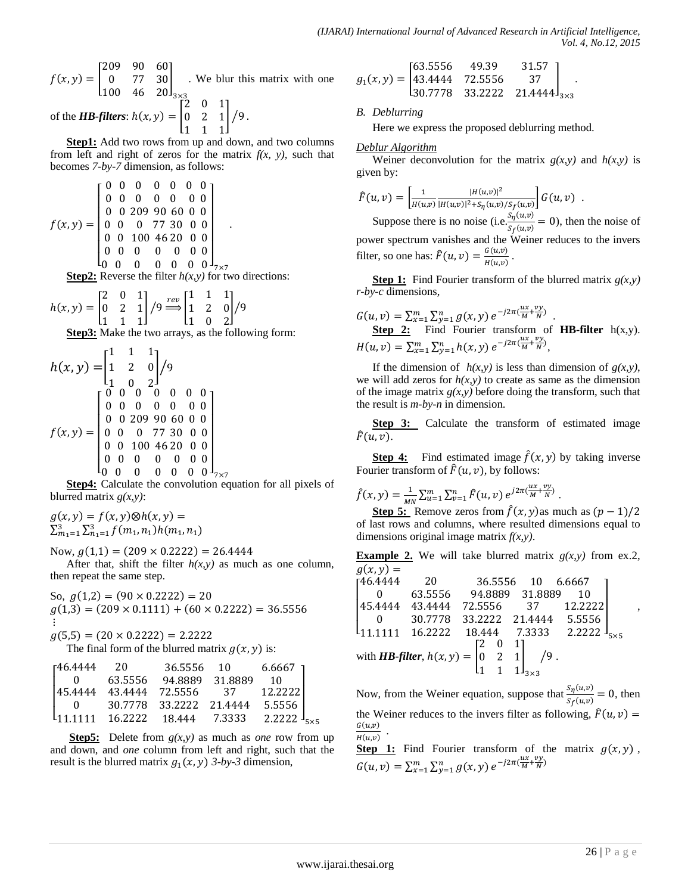$$
f(x, y) = \begin{bmatrix} 209 & 90 & 60 \\ 0 & 77 & 30 \\ 100 & 46 & 20 \end{bmatrix}_{3 \times 3}.
$$
 We blur this matrix with one  
of the ***HB-fitters***:  $h(x, y) = \begin{bmatrix} 2 & 0 & 1 \\ 0 & 2 & 1 \\ 1 & 1 & 1 \end{bmatrix} / 9.$ 

**Step1:** Add two rows from up and down, and two columns from left and right of zeros for the matrix  $f(x, y)$ , such that becomes *7-by-7* dimension, as follows:

$$
f(x,y) = \begin{bmatrix} 0 & 0 & 0 & 0 & 0 & 0 & 0 \\ 0 & 0 & 0 & 0 & 0 & 0 & 0 \\ 0 & 0 & 209 & 90 & 60 & 0 & 0 \\ 0 & 0 & 0 & 77 & 30 & 0 & 0 \\ 0 & 0 & 100 & 46 & 20 & 0 & 0 \\ 0 & 0 & 0 & 0 & 0 & 0 & 0 \\ 0 & 0 & 0 & 0 & 0 & 0 & 0 \end{bmatrix}_{7 \times 7}
$$
  
Step 2. Bvariance the filter  $b(x)$  is  $f(x)$ 

**Step2:** Reverse the filter  $h(x, y)$  for two directions:

$$
h(x,y) = \begin{bmatrix} 2 & 0 & 1 \\ 0 & 2 & 1 \\ 1 & 1 & 1 \end{bmatrix} / 9 \Longrightarrow \begin{bmatrix} 1 & 1 & 1 \\ 1 & 2 & 0 \\ 1 & 0 & 2 \end{bmatrix} / 9
$$

**Step3:** Make the two arrays, as the following form:

$$
h(x,y) = \begin{bmatrix} 1 & 1 & 1 \\ 1 & 2 & 0 \\ 1 & 0 & 2 \end{bmatrix} / 9
$$
  

$$
f(x,y) = \begin{bmatrix} 0 & 0 & 0 & 0 & 0 & 0 \\ 0 & 0 & 0 & 0 & 0 & 0 \\ 0 & 0 & 209 & 90 & 60 & 0 \\ 0 & 0 & 0 & 77 & 30 & 0 & 0 \\ 0 & 0 & 100 & 46 & 20 & 0 & 0 \\ 0 & 0 & 0 & 0 & 0 & 0 & 0 \\ 0 & 0 & 0 & 0 & 0 & 0 & 0 \end{bmatrix}_{x \times y}
$$

**Step4:** Calculate the convolution equation for all pixels of blurred matrix *g(x,y)*:

$$
g(x, y) = f(x, y) \otimes h(x, y) =
$$
  

$$
\sum_{m_1=1}^{3} \sum_{n_1=1}^{3} f(m_1, n_1) h(m_1, n_1)
$$

Now,  $q(1,1) = (209 \times 0.2222) = 26.4444$ 

After that, shift the filter  $h(x, y)$  as much as one column, then repeat the same step.

So,  $g(1,2) = (90 \times 0.2222) = 20$  $g(1,3) = (209 \times 0.1111) + (60 \times 0.2222) = 36.5556$  $\vdots$  $g(5,5) = (20 \times 0.2222) = 2.2222$ 

The final form of the blurred matrix  $g(x, y)$  is:

|              | 20                                           |         |        | $6.6667$ ]                                                  |  |
|--------------|----------------------------------------------|---------|--------|-------------------------------------------------------------|--|
| $\mathbf{U}$ | 63.5556                                      | 94.8889 |        | 10                                                          |  |
|              |                                              |         | 37     | 12.22221                                                    |  |
| $\mathbf{0}$ |                                              |         |        | 5.5556                                                      |  |
|              | 16.2222                                      |         | 7.3333 | 2.2222 $J_{5\times 5}$                                      |  |
|              | г46.4444<br>145.4444<br>L <sub>11</sub> 1111 | 43.4444 | 18.444 | 36.5556 10<br>31.8889<br>72.5556<br>30.7778 33.2222 21.4444 |  |

**Step5:** Delete from *g(x,y)* as much as *one* row from up and down, and *one* column from left and right, such that the result is the blurred matrix  $g_1(x, y)$  3-by-3 dimension,

$$
g_1(x,y) = \begin{bmatrix} 63.5556 & 49.39 & 31.57 \\ 43.4444 & 72.5556 & 37 \\ 30.7778 & 33.2222 & 21.4444 \end{bmatrix}_{3 \times 3}.
$$

*B. Deblurring*

Here we express the proposed deblurring method.

#### *Deblur Algorithm*

Weiner deconvolution for the matrix  $g(x, y)$  and  $h(x, y)$  is given by:

$$
\hat{F}(u,v) = \left[\frac{1}{H(u,v)} \frac{|H(u,v)|^2}{|H(u,v)|^2 + S_{\eta}(u,v)/S_f(u,v)}\right] G(u,v) .
$$
\nSuppose then is no noise (i.e.,  $\frac{S_{\eta}(u,v)}{S_{\eta}(u,v)} = 0$ ), then

Suppose there is no noise (i.e.  $\frac{S_{\eta}(u,v)}{S_{f}(u,v)} = 0$ ), then the noise of power spectrum vanishes and the Weiner reduces to the invers filter, so one has:  $\hat{F}(u, v) = \frac{G(u,v)}{U(u,v)}$  $H(u,v)$ .

**Step 1:** Find Fourier transform of the blurred matrix *g(x,y) r-by-c* dimensions,

$$
G(u, v) = \sum_{x=1}^{m} \sum_{y=1}^{n} g(x, y) e^{-j2\pi(\frac{ux}{M} + \frac{vy}{N})}
$$
  
Step 2: Find Fourier transform of **HB-filter** h(x,y).  

$$
H(u, v) = \sum_{x=1}^{m} \sum_{y=1}^{n} h(x, y) e^{-j2\pi(\frac{ux}{M} + \frac{vy}{N})},
$$

If the dimension of  $h(x, y)$  is less than dimension of  $g(x, y)$ , we will add zeros for  $h(x, y)$  to create as same as the dimension of the image matrix  $g(x, y)$  before doing the transform, such that the result is *m-by-n* in dimension.

**Step 3:** Calculate the transform of estimated image  $\widehat{F}(u,v)$ .

**Step 4:** Find estimated image  $\hat{f}(x, y)$  by taking inverse Fourier transform of  $\hat{F}(u, v)$ , by follows:

$$
\hat{f}(x,y) = \frac{1}{MN} \sum_{u=1}^{m} \sum_{v=1}^{n} \hat{F}(u,v) e^{j2\pi(\frac{ux}{M} + \frac{vy}{N})}.
$$

**Step 5:** Remove zeros from  $f(x, y)$ as much as  $(p - 1)/2$ of last rows and columns, where resulted dimensions equal to dimensions original image matrix *f(x,y)*.

**Example 2.** We will take blurred matrix  $g(x, y)$  from ex.2,  $q(x, y) =$ 

| г46.4444 | 20                                      | 36.5556<br>10<br>6.6667      |  |
|----------|-----------------------------------------|------------------------------|--|
|          | 63.5556                                 | 94.8889 31.8889<br>10        |  |
| 45.4444  | 43.4444                                 | 12.2222<br>72.5556<br>37     |  |
|          | 30.7778                                 | 5.5556<br>33.2222<br>21.4444 |  |
|          | 16.2222                                 | 2.2222<br>7.3333<br>18.444   |  |
|          |                                         |                              |  |
|          | with <b>HB-filter</b> , $h(x, y) =  0 $ |                              |  |
|          |                                         |                              |  |

Now, from the Weiner equation, suppose that  $\frac{S_{\eta}(u,v)}{S_{f}(u,v)} = 0$ , then the Weiner reduces to the invers filter as following,  $\hat{F}(u, v) =$  $G(u,v)$  $\overline{H(u,v)}$ .

**Step 1:** Find Fourier transform of the matrix  $g(x, y)$ ,  $G(u, v) = \sum_{x=1}^{m} \sum_{y=1}^{n} g(x, y) e^{-j2\pi (\frac{ux}{M} + \frac{vy}{N})}$ 

,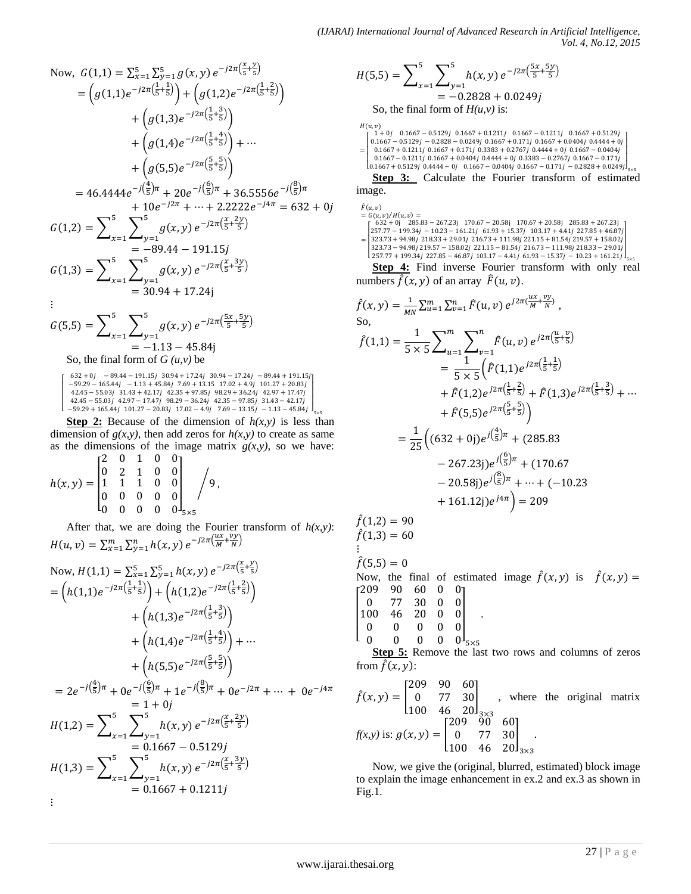Now, 
$$
G(1,1) = \sum_{x=1}^{5} \sum_{y=1}^{5} g(x,y) e^{-j2\pi(\frac{x}{5} + \frac{y}{5})}
$$
  
\n
$$
= (g(1,1)e^{-j2\pi(\frac{1}{5} + \frac{1}{5})}) + (g(1,2)e^{-j2\pi(\frac{1}{5} + \frac{2}{5})})
$$
\n
$$
+ (g(1,3)e^{-j2\pi(\frac{1}{5} + \frac{3}{5})}) + \cdots
$$
\n
$$
+ (g(5,5)e^{-j2\pi(\frac{5}{5} + \frac{4}{5})}) + \cdots
$$
\n
$$
+ (g(5,5)e^{-j2\pi(\frac{5}{5} + \frac{4}{5})}) + \cdots
$$
\n
$$
+ (g(5,5)e^{-j2\pi(\frac{5}{5} + \frac{5}{5})})
$$
\n
$$
= 46.4444e^{-j(\frac{4}{5})\pi} + 20e^{-j(\frac{6}{5})\pi} + 36.5556e^{-j(\frac{8}{5})\pi}
$$
\n
$$
+ 10e^{-j2\pi} + \cdots + 2.2222e^{-j4\pi} = 632 + 0j
$$
\n
$$
G(1,2) = \sum_{x=1}^{5} \sum_{y=1}^{5} g(x,y) e^{-j2\pi(\frac{x}{5} + \frac{2y}{5})}
$$
\n
$$
= -89.44 - 191.15j
$$
\n
$$
G(1,3) = \sum_{x=1}^{5} \sum_{y=1}^{5} g(x,y) e^{-j2\pi(\frac{x}{5} + \frac{3y}{5})}
$$
\n
$$
= 30.94 + 17.24j
$$
\n
$$
\vdots
$$

[

$$
G(5,5) = \sum_{x=1}^{5} \sum_{y=1}^{5} g(x,y) e^{-j2\pi(\frac{5x}{5} + \frac{5y}{5})}
$$
  
= -1.13 - 45.84j

So, the final form of *G (u,v)* be

 $632 + 0j = 89.44 - 191.15j$   $30.94 + 17.24j$   $30.94 - 17.24j = 89.44 + 191.15j$ <br> $59.39 - 165.44j = 132 + 45.94j$   $760 + 1215$   $17.92 + 40j$   $101.37 + 20.82j$  $-59.29 - 165.44j - 1.13 + 45.84j$  7.69 + 13.15 17.02 + 4.9j 101.27 + 20.83j  $42.45 - 55.03j \ \ 31.43 + 42.17j \ \ 42.35 + 97.85j \ \ 98.29 + 36.24j \ \ 42.97 + 17.47j$  $42.45 - 55.03j$   $31.43 + 42.1j$   $42.35 + 97.85j$   $98.29 + 36.24j$   $42.97 - 17.47j$   $98.29 - 36.24j$   $42.35 - 97.85j$   $31.43 - 42.17j$ <br> $42.45 - 55.03j$   $42.97 - 17.47j$   $98.29 + 165.44j$   $101.27 - 20.83j$   $17.02 - 49j$   $7.69 - 13.15j$  I 5

**Step 2:** Because of the dimension of  $h(x, y)$  is less than dimension of  $g(x, y)$ , then add zeros for  $h(x, y)$  to create as same as the dimensions of the image matrix  $g(x, y)$ , so we have:

$$
h(x,y) = \begin{bmatrix} 2 & 0 & 1 & 0 & 0 \\ 0 & 2 & 1 & 0 & 0 \\ 1 & 1 & 1 & 0 & 0 \\ 0 & 0 & 0 & 0 & 0 \\ 0 & 0 & 0 & 0 & 0 \end{bmatrix}_{5 \times 5} / 9,
$$

After that, we are doing the Fourier transform of  $h(x, y)$ :  $H(u, v) = \sum_{x=1}^{m} \sum_{y=1}^{n} h(x, y) e^{-j2\pi (\frac{ux}{M} + \frac{vy}{N})}$ 

Now, 
$$
H(1,1) = \sum_{x=1}^{5} \sum_{y=1}^{5} h(x,y) e^{-j2\pi(\frac{x}{5} + \frac{y}{5})}
$$
  
\n
$$
= (h(1,1)e^{-j2\pi(\frac{1}{5} + \frac{1}{5})}) + (h(1,2)e^{-j2\pi(\frac{1}{5} + \frac{2}{5})}) + (h(1,3)e^{-j2\pi(\frac{1}{5} + \frac{3}{5})}) + (h(1,4)e^{-j2\pi(\frac{1}{5} + \frac{4}{5})}) + \cdots + (h(5,5)e^{-j2\pi(\frac{5}{5} + \frac{5}{5})}) + \cdots + (h(5,5)e^{-j2\pi(\frac{5}{5} + \frac{5}{5})})
$$
\n
$$
= 2e^{-j(\frac{4}{5})\pi} + 0e^{-j(\frac{6}{5})\pi} + 1e^{-j(\frac{8}{5})\pi} + 0e^{-j2\pi} + \cdots + 0e^{-j4\pi}
$$
\n
$$
= 1 + 0j
$$
\n
$$
H(1,2) = \sum_{x=1}^{5} \sum_{y=1}^{5} h(x,y) e^{-j2\pi(\frac{x}{5} + \frac{2y}{5})}
$$
\n
$$
= 0.1667 - 0.5129j
$$
\n
$$
H(1,3) = \sum_{x=1}^{5} \sum_{y=1}^{5} h(x,y) e^{-j2\pi(\frac{x}{5} + \frac{3y}{5})}
$$
\n
$$
= 0.1667 + 0.1211j
$$

$$
H(5,5) = \sum_{x=1}^{5} \sum_{y=1}^{5} h(x,y) e^{-j2\pi(\frac{5x}{5} + \frac{5y}{5})}
$$
  
So, the final form of  $H(u,y)$  is:

 $H(u, v)$ 

- I
- $=\left[\begin{array}{c}1\\0.1\\0\end{array}\right]$  $0.1667 + 0.1211j$   $0.1667 + 0.171j$   $0.3383 + 0.2767j$   $0.4444 + 0j$   $0.1667 - 0.0404j$ I I
- | 0.1667 0.1211j 0.1667 + 0.0404j 0.4444 + 0j 0.3383 0.2767j 0.1667 0.171j<br>|0.1667 + 0.5129j 0.4444 0j 0.1667 0.0404j 0.1667 0.171j 0.2828 + 0.0249j. I  $0.1667 - 0.1211j$   $0.1667 + 0.0404j$   $0.4444 + 0j$   $0.3383 - 0.2767j$   $0.1667 - 0.171j$

5 **Step 3:** Calculate the Fourier transform of estimated image.

 $\hat{F}(u, v) = G(u, v)/H(u, v) =$ 

- 
- $632 + 0j$  285.83 267.23j 170.67 20.58j 170.67 + 20.58j 285.83 + 267.23j
- $\frac{1}{2}$

I I

5

- $=\begin{bmatrix} 3 \\ 3 \end{bmatrix}$
- | 323.73 94.98j 219.57 158.02j 221.15 81.54j 216.73 111.98j 218.33 29.01j |<br>| 257.77 + 199.34j 227.85 46.87j 103.17 4.41j 61.93 15.37j 10.23 + 161.21j ]

**Step 4:** Find inverse Fourier transform with only real numbers  $\hat{f}(x, y)$  of an array  $\hat{F}(u, v)$ .

$$
\hat{f}(x,y) = \frac{1}{MN} \sum_{u=1}^{m} \sum_{v=1}^{n} \hat{F}(u,v) e^{j2\pi (\frac{ux}{M} + \frac{vy}{N})},
$$
  
So,

$$
\hat{f}(1,1) = \frac{1}{5 \times 5} \sum_{u=1}^{m} \sum_{v=1}^{n} \hat{f}(u,v) e^{j2\pi(\frac{u}{5} + \frac{v}{5})}
$$
\n
$$
= \frac{1}{5 \times 5} \left( \hat{F}(1,1) e^{j2\pi(\frac{1}{5} + \frac{1}{5})} + \hat{F}(1,2) e^{j2\pi(\frac{1}{5} + \frac{2}{5})} + \hat{F}(1,3) e^{j2\pi(\frac{1}{5} + \frac{3}{5})} + \cdots + \hat{F}(5,5) e^{j2\pi(\frac{5}{5} + \frac{5}{5})} \right)
$$
\n
$$
= \frac{1}{25} \left( (632 + 0j) e^{j(\frac{4}{5})\pi} + (285.83 - 267.23j) e^{j(\frac{6}{5})\pi} + (170.67 - 20.58j) e^{j(\frac{8}{5})\pi} + \cdots + (-10.23 + 161.12j) e^{j4\pi} \right) = 209
$$

 $\hat{f}(1,2) = 90$  $\hat{f}(1,3) = 60$  $\vdots$ 

 $\ddot{f}(5,5) = 0$ Now, the final of estimated image  $\hat{f}(x, y)$  is  $\hat{f}(x, y) =$  $\lfloor$ I I  $\vert_1$  $\int_0^2$  $\mathbf{0}$  $\theta$  $\mathbf{0}$ 90 77 46  $\mathbf{0}$  $\mathbf{0}$ 60 30 20  $\theta$  $\boldsymbol{0}$  $\bf{0}$  $\mathbf{0}$  $\bf{0}$  $\mathbf{0}$  $\boldsymbol{0}$  $0<sup>-</sup>$  $\overline{0}$  $\left|0\right|$  $\theta$  $0^{\int_5}$ I I I . **Step 5:** Remove the last two rows and columns of zeros from  $\hat{f}(x, y)$ :

$$
\hat{f}(x,y) = \begin{bmatrix} 209 & 90 & 60 \\ 0 & 77 & 30 \\ 100 & 46 & 20 \end{bmatrix}_{3 \times 3}, \text{ where the original matrix}
$$

$$
f(x,y) \text{ is: } g(x,y) = \begin{bmatrix} 209 & 90 & 60 \\ 0 & 77 & 30 \\ 100 & 46 & 20 \end{bmatrix}_{3 \times 3}.
$$

Now, we give the (original, blurred, estimated) block image to explain the image enhancement in ex.2 and ex.3 as shown in Fig.1.